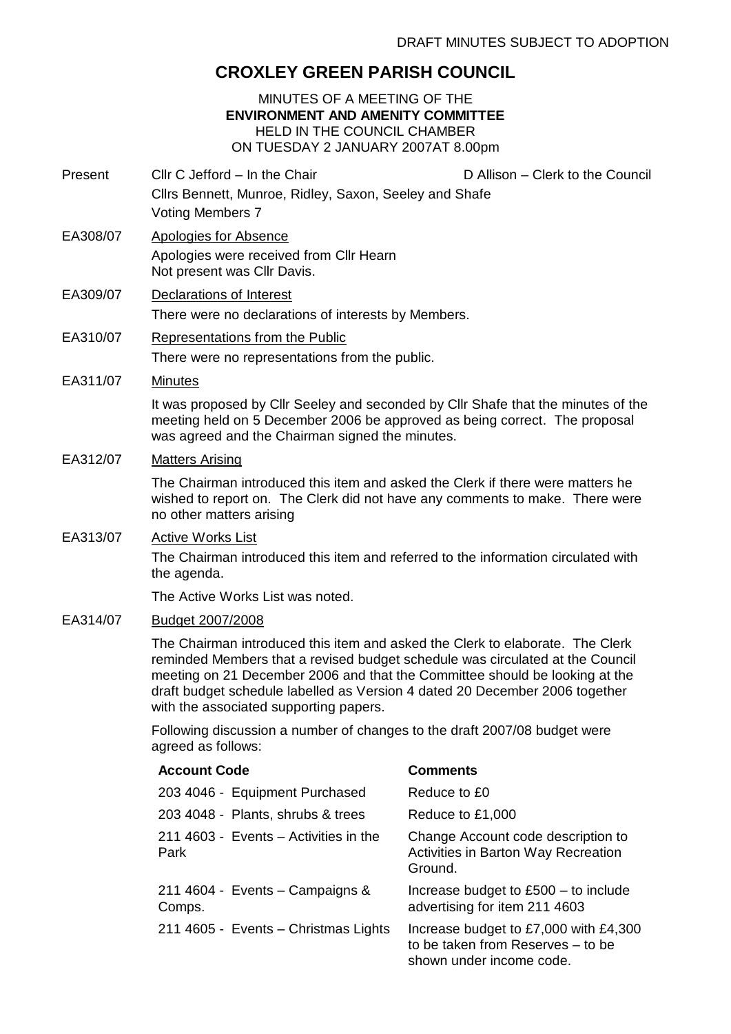# **CROXLEY GREEN PARISH COUNCIL**

#### MINUTES OF A MEETING OF THE **ENVIRONMENT AND AMENITY COMMITTEE** HELD IN THE COUNCIL CHAMBER ON TUESDAY 2 JANUARY 2007AT 8.00pm

- Present Cllr C Jefford In the Chair Chair D Allison Clerk to the Council Cllrs Bennett, Munroe, Ridley, Saxon, Seeley and Shafe Voting Members 7
- EA308/07 Apologies for Absence Apologies were received from Cllr Hearn Not present was Cllr Davis.

## EA309/07 Declarations of Interest There were no declarations of interests by Members.

EA310/07 Representations from the Public

There were no representations from the public.

EA311/07 Minutes

It was proposed by Cllr Seeley and seconded by Cllr Shafe that the minutes of the meeting held on 5 December 2006 be approved as being correct. The proposal was agreed and the Chairman signed the minutes.

## EA312/07 Matters Arising

The Chairman introduced this item and asked the Clerk if there were matters he wished to report on. The Clerk did not have any comments to make. There were no other matters arising

### EA313/07 Active Works List

The Chairman introduced this item and referred to the information circulated with the agenda.

The Active Works List was noted.

#### EA314/07 Budget 2007/2008

The Chairman introduced this item and asked the Clerk to elaborate. The Clerk reminded Members that a revised budget schedule was circulated at the Council meeting on 21 December 2006 and that the Committee should be looking at the draft budget schedule labelled as Version 4 dated 20 December 2006 together with the associated supporting papers.

Following discussion a number of changes to the draft 2007/08 budget were agreed as follows:

| <b>Account Code</b>                           | <b>Comments</b>                                                                                        |
|-----------------------------------------------|--------------------------------------------------------------------------------------------------------|
| 203 4046 - Equipment Purchased                | Reduce to £0                                                                                           |
| 203 4048 - Plants, shrubs & trees             | Reduce to £1,000                                                                                       |
| 211 4603 - Events - Activities in the<br>Park | Change Account code description to<br>Activities in Barton Way Recreation<br>Ground.                   |
| 211 4604 - Events - Campaigns &<br>Comps.     | Increase budget to $£500 -$ to include<br>advertising for item 211 4603                                |
| 211 4605 - Events - Christmas Lights          | Increase budget to £7,000 with £4,300<br>to be taken from Reserves - to be<br>shown under income code. |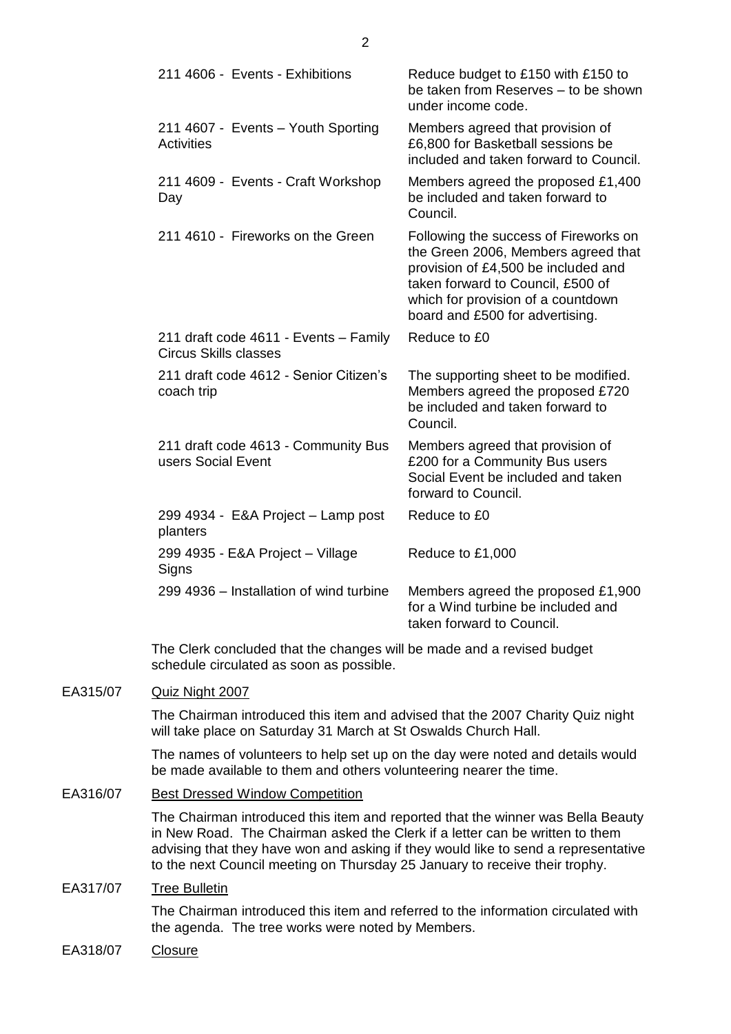| 211 4606 - Events - Exhibitions                                                                                                                                                                                                                                                                                                      | Reduce budget to £150 with £150 to<br>be taken from Reserves - to be shown<br>under income code.                                                                                                                                  |
|--------------------------------------------------------------------------------------------------------------------------------------------------------------------------------------------------------------------------------------------------------------------------------------------------------------------------------------|-----------------------------------------------------------------------------------------------------------------------------------------------------------------------------------------------------------------------------------|
| 211 4607 - Events - Youth Sporting<br>Activities                                                                                                                                                                                                                                                                                     | Members agreed that provision of<br>£6,800 for Basketball sessions be<br>included and taken forward to Council.                                                                                                                   |
| 211 4609 - Events - Craft Workshop<br>Day                                                                                                                                                                                                                                                                                            | Members agreed the proposed £1,400<br>be included and taken forward to<br>Council.                                                                                                                                                |
| 211 4610 - Fireworks on the Green                                                                                                                                                                                                                                                                                                    | Following the success of Fireworks on<br>the Green 2006, Members agreed that<br>provision of £4,500 be included and<br>taken forward to Council, £500 of<br>which for provision of a countdown<br>board and £500 for advertising. |
| 211 draft code 4611 - Events - Family<br><b>Circus Skills classes</b>                                                                                                                                                                                                                                                                | Reduce to £0                                                                                                                                                                                                                      |
| 211 draft code 4612 - Senior Citizen's<br>coach trip                                                                                                                                                                                                                                                                                 | The supporting sheet to be modified.<br>Members agreed the proposed £720<br>be included and taken forward to<br>Council.                                                                                                          |
| 211 draft code 4613 - Community Bus<br>users Social Event                                                                                                                                                                                                                                                                            | Members agreed that provision of<br>£200 for a Community Bus users<br>Social Event be included and taken<br>forward to Council.                                                                                                   |
| 299 4934 - E&A Project – Lamp post<br>planters                                                                                                                                                                                                                                                                                       | Reduce to £0                                                                                                                                                                                                                      |
| 299 4935 - E&A Project - Village<br>Signs                                                                                                                                                                                                                                                                                            | Reduce to £1,000                                                                                                                                                                                                                  |
| 299 4936 – Installation of wind turbine                                                                                                                                                                                                                                                                                              | Members agreed the proposed £1,900<br>for a Wind turbine be included and<br>taken forward to Council.                                                                                                                             |
| The Clerk concluded that the changes will be made and a revised budget<br>schedule circulated as soon as possible.                                                                                                                                                                                                                   |                                                                                                                                                                                                                                   |
| Quiz Night 2007                                                                                                                                                                                                                                                                                                                      |                                                                                                                                                                                                                                   |
| The Chairman introduced this item and advised that the 2007 Charity Quiz night<br>will take place on Saturday 31 March at St Oswalds Church Hall.                                                                                                                                                                                    |                                                                                                                                                                                                                                   |
| The names of volunteers to help set up on the day were noted and details would<br>be made available to them and others volunteering nearer the time.                                                                                                                                                                                 |                                                                                                                                                                                                                                   |
| <b>Best Dressed Window Competition</b>                                                                                                                                                                                                                                                                                               |                                                                                                                                                                                                                                   |
| The Chairman introduced this item and reported that the winner was Bella Beauty<br>in New Road. The Chairman asked the Clerk if a letter can be written to them<br>advising that they have won and asking if they would like to send a representative<br>to the next Council meeting on Thursday 25 January to receive their trophy. |                                                                                                                                                                                                                                   |
| <b>Tree Bulletin</b>                                                                                                                                                                                                                                                                                                                 |                                                                                                                                                                                                                                   |
| The Chairman introduced this item and referred to the information circulated with<br>the agenda. The tree works were noted by Members.                                                                                                                                                                                               |                                                                                                                                                                                                                                   |

EA318/07 Closure

EA315/07

EA316/07

EA317/07